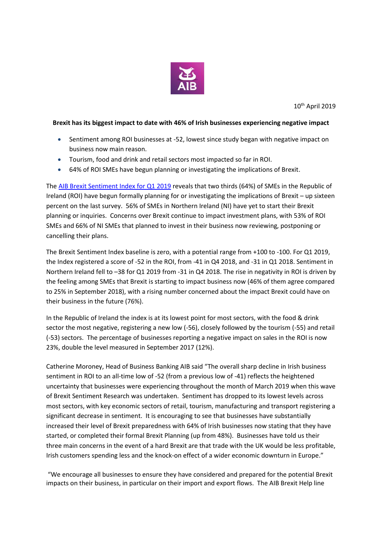

10th April 2019

## **Brexit has its biggest impact to date with 46% of Irish businesses experiencing negative impact**

- Sentiment among ROI businesses at -52, lowest since study began with negative impact on business now main reason.
- Tourism, food and drink and retail sectors most impacted so far in ROI.
- 64% of ROI SMEs have begun planning or investigating the implications of Brexit.

The [AIB Brexit Sentiment Index for Q1 2019](https://aib.ie/content/dam/aib/fxcentre/docs/brexit-sentiment-index-q1-2019.pdf) reveals that two thirds (64%) of SMEs in the Republic of Ireland (ROI) have begun formally planning for or investigating the implications of Brexit – up sixteen percent on the last survey. 56% of SMEs in Northern Ireland (NI) have yet to start their Brexit planning or inquiries. Concerns over Brexit continue to impact investment plans, with 53% of ROI SMEs and 66% of NI SMEs that planned to invest in their business now reviewing, postponing or cancelling their plans.

The Brexit Sentiment Index baseline is zero, with a potential range from +100 to -100. For Q1 2019, the Index registered a score of -52 in the ROI, from -41 in Q4 2018, and -31 in Q1 2018. Sentiment in Northern Ireland fell to –38 for Q1 2019 from -31 in Q4 2018. The rise in negativity in ROI is driven by the feeling among SMEs that Brexit is starting to impact business now (46% of them agree compared to 25% in September 2018), with a rising number concerned about the impact Brexit could have on their business in the future (76%).

In the Republic of Ireland the index is at its lowest point for most sectors, with the food & drink sector the most negative, registering a new low (-56), closely followed by the tourism (-55) and retail (-53) sectors. The percentage of businesses reporting a negative impact on sales in the ROI is now 23%, double the level measured in September 2017 (12%).

Catherine Moroney, Head of Business Banking AIB said "The overall sharp decline in Irish business sentiment in ROI to an all-time low of -52 (from a previous low of -41) reflects the heightened uncertainty that businesses were experiencing throughout the month of March 2019 when this wave of Brexit Sentiment Research was undertaken. Sentiment has dropped to its lowest levels across most sectors, with key economic sectors of retail, tourism, manufacturing and transport registering a significant decrease in sentiment. It is encouraging to see that businesses have substantially increased their level of Brexit preparedness with 64% of Irish businesses now stating that they have started, or completed their formal Brexit Planning (up from 48%). Businesses have told us their three main concerns in the event of a hard Brexit are that trade with the UK would be less profitable, Irish customers spending less and the knock-on effect of a wider economic downturn in Europe."

"We encourage all businesses to ensure they have considered and prepared for the potential Brexit impacts on their business, in particular on their import and export flows. The AIB Brexit Help line